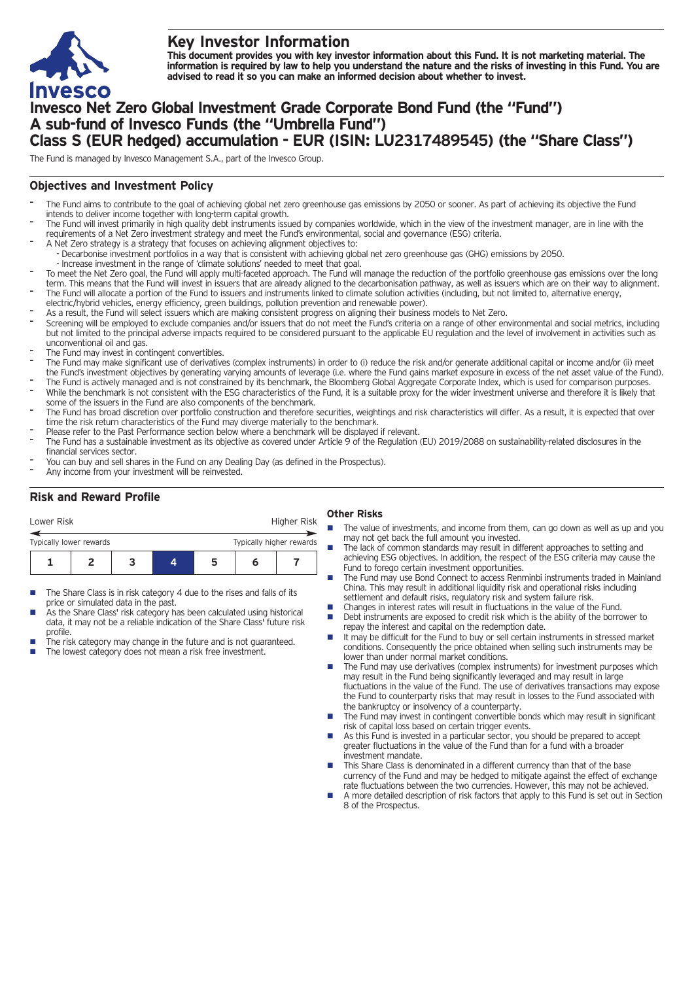

# **Key Investor Information**

This document provides you with key investor information about this Fund. It is not marketing material. The information is required by law to help you understand the nature and the risks of investing in this Fund. You are **advised to read it so you can make an informed decision about whether to invest.**

# **Invesco Net Zero Global Investment Grade Corporate Bond Fund (the "Fund") A sub-fund of Invesco Funds (the "Umbrella Fund") Class S (EUR hedged) accumulation - EUR (ISIN: LU2317489545) (the "Share Class")**

The Fund is managed by Invesco Management S.A., part of the Invesco Group.

## **Objectives and Investment Policy**

- The Fund aims to contribute to the goal of achieving global net zero greenhouse gas emissions by 2050 or sooner. As part of achieving its objective the Fund intends to deliver income together with long-term capital growth.
- The Fund will invest primarily in high quality debt instruments issued by companies worldwide, which in the view of the investment manager, are in line with the requirements of a Net Zero investment strategy and meet the Fund's environmental, social and governance (ESG) criteria.
- A Net Zero strategy is a strategy that focuses on achieving alignment objectives to: - Decarbonise investment portfolios in a way that is consistent with achieving global net zero greenhouse gas (GHG) emissions by 2050.
- Increase investment in the range of 'climate solutions' needed to meet that goal.
- To meet the Net Zero goal, the Fund will apply multi-faceted approach. The Fund will manage the reduction of the portfolio greenhouse gas emissions over the long term. This means that the Fund will invest in issuers that are already aligned to the decarbonisation pathway, as well as issuers which are on their way to alignment. The Fund will allocate a portion of the Fund to issuers and instruments linked to climate solution activities (including, but not limited to, alternative energy,
- electric/hybrid vehicles, energy efficiency, green buildings, pollution prevention and renewable power).
- As a result, the Fund will select issuers which are making consistent progress on aligning their business models to Net Zero.
- Screening will be employed to exclude companies and/or issuers that do not meet the Fund's criteria on a range of other environmental and social metrics, including but not limited to the principal adverse impacts required to be considered pursuant to the applicable EU regulation and the level of involvement in activities such as unconventional oil and gas.
- The Fund may invest in contingent convertibles.
- The Fund may make significant use of derivatives (complex instruments) in order to (i) reduce the risk and/or generate additional capital or income and/or (ii) meet the Fund's investment objectives by generating varying amounts of leverage (i.e. where the Fund gains market exposure in excess of the net asset value of the Fund).
- The Fund is actively managed and is not constrained by its benchmark, the Bloomberg Global Aggregate Corporate Index, which is used for comparison purposes. While the benchmark is not consistent with the ESG characteristics of the Fund, it is a suitable proxy for the wider investment universe and therefore it is likely that some of the issuers in the Fund are also components of the benchmark.
- The Fund has broad discretion over portfolio construction and therefore securities, weightings and risk characteristics will differ. As a result, it is expected that over time the risk return characteristics of the Fund may diverge materially to the benchmark.
- Please refer to the Past Performance section below where a benchmark will be displayed if relevant.
- The Fund has a sustainable investment as its objective as covered under Article 9 of the Regulation (EU) 2019/2088 on sustainability-related disclosures in the financial services sector.
- You can buy and sell shares in the Fund on any Dealing Day (as defined in the Prospectus).
- Any income from your investment will be reinvested.

## **Risk and Reward Profile**

| Lower Risk              |  |                          |   | Higher Risk |  |
|-------------------------|--|--------------------------|---|-------------|--|
| Typically lower rewards |  | Typically higher rewards |   |             |  |
|                         |  |                          | ∽ |             |  |

- The Share Class is in risk category 4 due to the rises and falls of its price or simulated data in the past.
- As the Share Class' risk category has been calculated using historical data, it may not be a reliable indication of the Share Class' future risk profile.
- The risk category may change in the future and is not guaranteed. The lowest category does not mean a risk free investment.

## **Other Risks**

- The value of investments, and income from them, can go down as well as up and you may not get back the full amount you invested.
- The lack of common standards may result in different approaches to setting and achieving ESG objectives. In addition, the respect of the ESG criteria may cause the Fund to forego certain investment opportunities.
- The Fund may use Bond Connect to access Renminbi instruments traded in Mainland China. This may result in additional liquidity risk and operational risks including settlement and default risks, regulatory risk and system failure risk.
- Changes in interest rates will result in fluctuations in the value of the Fund.<br>■ Debt instruments are exposed to credit risk which is the ability of the borre
- Debt instruments are exposed to credit risk which is the ability of the borrower to repay the interest and capital on the redemption date.
- $\blacksquare$  It may be difficult for the Fund to buy or sell certain instruments in stressed market conditions. Consequently the price obtained when selling such instruments may be lower than under normal market conditions.
- The Fund may use derivatives (complex instruments) for investment purposes which may result in the Fund being significantly leveraged and may result in large fluctuations in the value of the Fund. The use of derivatives transactions may expose the Fund to counterparty risks that may result in losses to the Fund associated with the bankruptcy or insolvency of a counterparty.
- The Fund may invest in contingent convertible bonds which may result in significant risk of capital loss based on certain trigger events.
- n As this Fund is invested in a particular sector, you should be prepared to accept greater fluctuations in the value of the Fund than for a fund with a broader investment mandate.
- This Share Class is denominated in a different currency than that of the base currency of the Fund and may be hedged to mitigate against the effect of exchange rate fluctuations between the two currencies. However, this may not be achieved.
- n A more detailed description of risk factors that apply to this Fund is set out in Section 8 of the Prospectus.